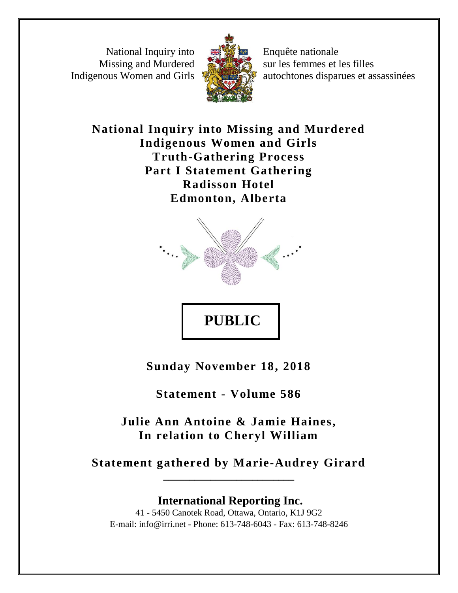National Inquiry into Missing and Murdered Indigenous Women and Girls



Enquête nationale sur les femmes et les filles autochtones disparues et assassinées

**National Inquiry into Missing and Murdered Indigenous Women and Girls Truth-Gathering Process Part I Statement Gathering Radisson Hotel Edmonton, Alberta**



**Sunday November 18, 2018**

**PUBLIC** 

**Statement - Volume 586**

**Julie Ann Antoine & Jamie Haines, In relation to Cheryl William**

**Statement gathered by Marie-Audrey Girard \_\_\_\_\_\_\_\_\_\_\_\_\_\_\_\_\_\_\_\_\_\_\_\_\_**

**International Reporting Inc.** 41 - 5450 Canotek Road, Ottawa, Ontario, K1J 9G2 E-mail: info@irri.net - Phone: 613-748-6043 - Fax: 613-748-8246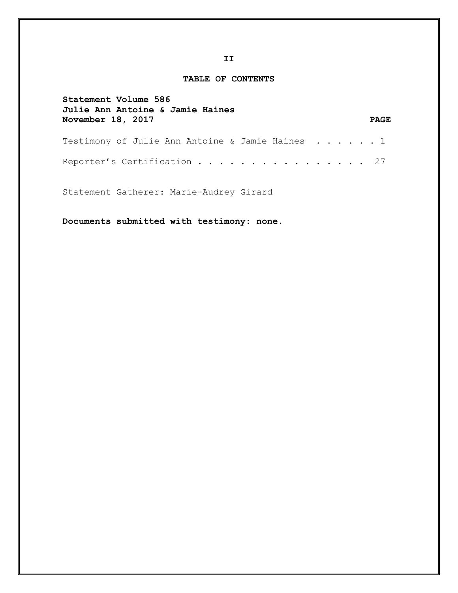## **TABLE OF CONTENTS**

| Statement Volume 586<br>Julie Ann Antoine & Jamie Haines |  |  |  |  |  |             |
|----------------------------------------------------------|--|--|--|--|--|-------------|
| November 18, 2017                                        |  |  |  |  |  | <b>PAGE</b> |
| Testimony of Julie Ann Antoine & Jamie Haines 1          |  |  |  |  |  |             |
| Reporter's Certification 27                              |  |  |  |  |  |             |

Statement Gatherer: Marie-Audrey Girard

**Documents submitted with testimony: none.**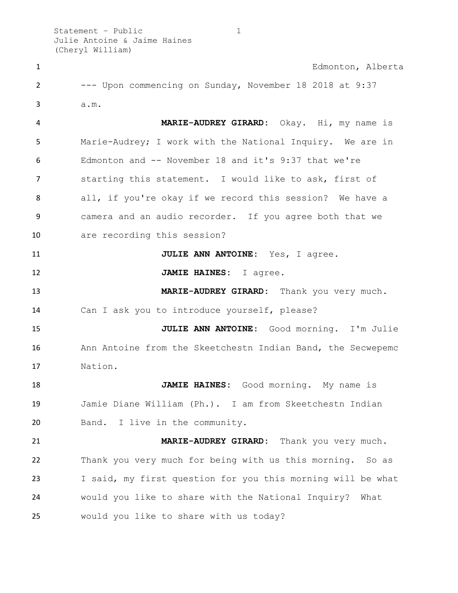Statement – Public 1 Julie Antoine & Jaime Haines (Cheryl William)

| $\mathbf{1}$   | Edmonton, Alberta                                           |
|----------------|-------------------------------------------------------------|
| $\overline{2}$ | --- Upon commencing on Sunday, November 18 2018 at 9:37     |
| 3              | a.m.                                                        |
| 4              | MARIE-AUDREY GIRARD: Okay. Hi, my name is                   |
| 5              | Marie-Audrey; I work with the National Inquiry. We are in   |
| 6              | Edmonton and -- November 18 and it's 9:37 that we're        |
| $\overline{7}$ | starting this statement. I would like to ask, first of      |
| 8              | all, if you're okay if we record this session? We have a    |
| 9              | camera and an audio recorder. If you agree both that we     |
| 10             | are recording this session?                                 |
| 11             | JULIE ANN ANTOINE: Yes, I agree.                            |
| 12             | JAMIE HAINES: I agree.                                      |
| 13             | MARIE-AUDREY GIRARD: Thank you very much.                   |
| 14             | Can I ask you to introduce yourself, please?                |
| 15             | JULIE ANN ANTOINE: Good morning. I'm Julie                  |
| 16             | Ann Antoine from the Skeetchestn Indian Band, the Secwepemc |
| 17             | Nation.                                                     |
| 18             | JAMIE HAINES: Good morning. My name is                      |
| 19             | Jamie Diane William (Ph.). I am from Skeetchestn Indian     |
| 20             | Band. I live in the community.                              |
| 21             | MARIE-AUDREY GIRARD: Thank you very much.                   |
| 22             | Thank you very much for being with us this morning. So as   |
| 23             | I said, my first question for you this morning will be what |
| 24             | would you like to share with the National Inquiry? What     |
| 25             | would you like to share with us today?                      |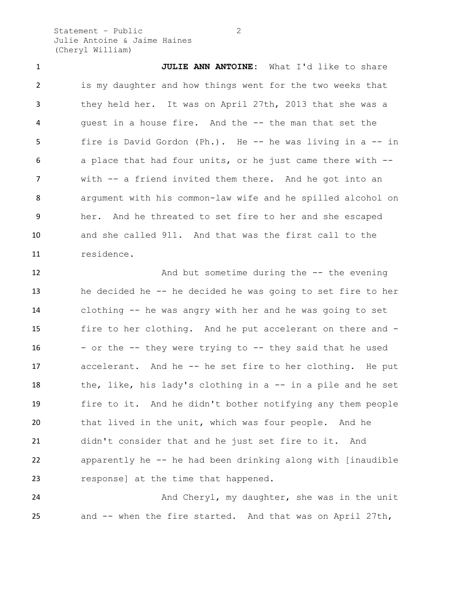Statement – Public 2 Julie Antoine & Jaime Haines (Cheryl William)

 **JULIE ANN ANTOINE:** What I'd like to share is my daughter and how things went for the two weeks that they held her. It was on April 27th, 2013 that she was a guest in a house fire. And the -- the man that set the fire is David Gordon (Ph.). He -- he was living in a -- in a place that had four units, or he just came there with -- with -- a friend invited them there. And he got into an argument with his common-law wife and he spilled alcohol on her. And he threated to set fire to her and she escaped and she called 911. And that was the first call to the residence.

12 And but sometime during the -- the evening he decided he -- he decided he was going to set fire to her clothing -- he was angry with her and he was going to set fire to her clothing. And he put accelerant on there and - - or the  $-$  they were trying to  $-$  they said that he used accelerant. And he -- he set fire to her clothing. He put 18 the, like, his lady's clothing in a -- in a pile and he set fire to it. And he didn't bother notifying any them people that lived in the unit, which was four people. And he didn't consider that and he just set fire to it. And apparently he -- he had been drinking along with [inaudible response] at the time that happened.

24 And Cheryl, my daughter, she was in the unit and -- when the fire started. And that was on April 27th,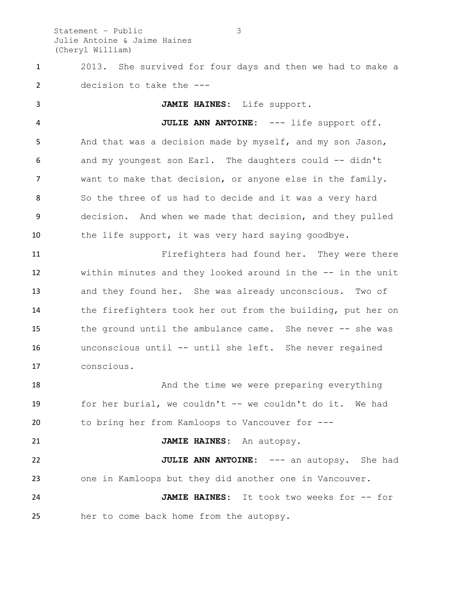Statement – Public 3 Julie Antoine & Jaime Haines (Cheryl William)

 2013. She survived for four days and then we had to make a decision to take the ---

 **JAMIE HAINES:** Life support. **JULIE ANN ANTOINE:** --- life support off. And that was a decision made by myself, and my son Jason, and my youngest son Earl. The daughters could -- didn't want to make that decision, or anyone else in the family. So the three of us had to decide and it was a very hard decision. And when we made that decision, and they pulled 10 the life support, it was very hard saying goodbye. Firefighters had found her. They were there within minutes and they looked around in the -- in the unit and they found her. She was already unconscious. Two of the firefighters took her out from the building, put her on the ground until the ambulance came. She never -- she was unconscious until -- until she left. She never regained conscious. 18 And the time we were preparing everything for her burial, we couldn't -- we couldn't do it. We had to bring her from Kamloops to Vancouver for --- **JAMIE HAINES:** An autopsy. **JULIE ANN ANTOINE:** --- an autopsy. She had one in Kamloops but they did another one in Vancouver. **JAMIE HAINES:** It took two weeks for -- for

her to come back home from the autopsy.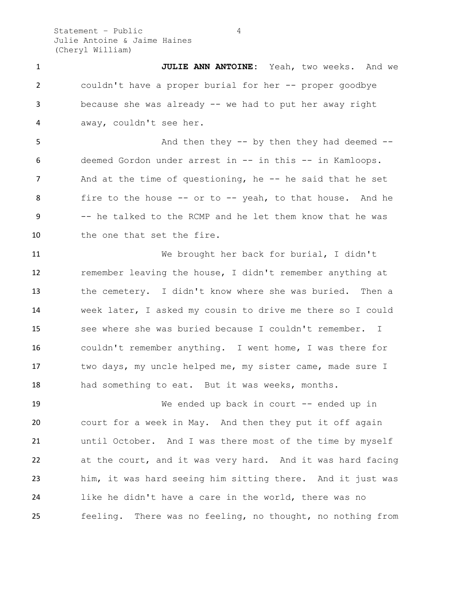Statement – Public 4 Julie Antoine & Jaime Haines (Cheryl William)

 **JULIE ANN ANTOINE:** Yeah, two weeks. And we couldn't have a proper burial for her -- proper goodbye because she was already -- we had to put her away right away, couldn't see her.

5 And then they -- by then they had deemed -- deemed Gordon under arrest in -- in this -- in Kamloops. 7 And at the time of questioning, he -- he said that he set 8 fire to the house -- or to -- yeah, to that house. And he -- he talked to the RCMP and he let them know that he was 10 the one that set the fire.

 We brought her back for burial, I didn't remember leaving the house, I didn't remember anything at the cemetery. I didn't know where she was buried. Then a week later, I asked my cousin to drive me there so I could see where she was buried because I couldn't remember. I couldn't remember anything. I went home, I was there for two days, my uncle helped me, my sister came, made sure I had something to eat. But it was weeks, months.

19 We ended up back in court -- ended up in court for a week in May. And then they put it off again until October. And I was there most of the time by myself at the court, and it was very hard. And it was hard facing him, it was hard seeing him sitting there. And it just was like he didn't have a care in the world, there was no feeling. There was no feeling, no thought, no nothing from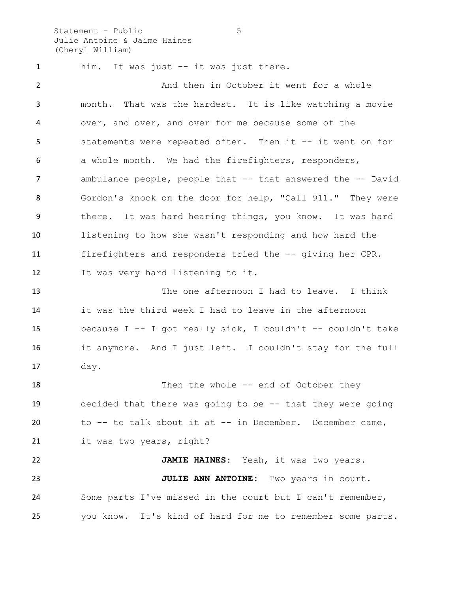Statement – Public 5 Julie Antoine & Jaime Haines (Cheryl William)

 him. It was just -- it was just there. 2 And then in October it went for a whole month. That was the hardest. It is like watching a movie over, and over, and over for me because some of the statements were repeated often. Then it -- it went on for a whole month. We had the firefighters, responders, 7 ambulance people, people that -- that answered the -- David Gordon's knock on the door for help, "Call 911." They were there. It was hard hearing things, you know. It was hard listening to how she wasn't responding and how hard the firefighters and responders tried the -- giving her CPR. It was very hard listening to it. The one afternoon I had to leave. I think it was the third week I had to leave in the afternoon because I -- I got really sick, I couldn't -- couldn't take it anymore. And I just left. I couldn't stay for the full day. 18 Then the whole -- end of October they decided that there was going to be -- that they were going to -- to talk about it at -- in December. December came, 21 it was two years, right? **JAMIE HAINES:** Yeah, it was two years. **JULIE ANN ANTOINE:** Two years in court.

you know. It's kind of hard for me to remember some parts.

Some parts I've missed in the court but I can't remember,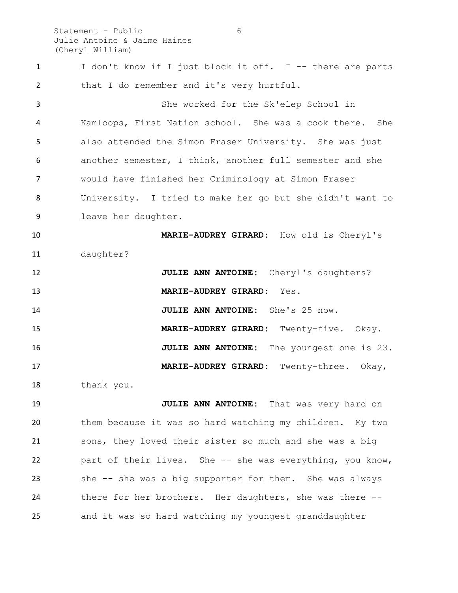Statement – Public 6 Julie Antoine & Jaime Haines (Cheryl William)

1 I don't know if I just block it off. I -- there are parts 2 that I do remember and it's very hurtful. She worked for the Sk'elep School in Kamloops, First Nation school. She was a cook there. She also attended the Simon Fraser University. She was just another semester, I think, another full semester and she would have finished her Criminology at Simon Fraser University. I tried to make her go but she didn't want to leave her daughter. **MARIE-AUDREY GIRARD:** How old is Cheryl's daughter? **JULIE ANN ANTOINE:** Cheryl's daughters? **MARIE-AUDREY GIRARD:** Yes. **JULIE ANN ANTOINE:** She's 25 now. **MARIE-AUDREY GIRARD:** Twenty-five. Okay. **JULIE ANN ANTOINE:** The youngest one is 23. **MARIE-AUDREY GIRARD:** Twenty-three. Okay, thank you. **JULIE ANN ANTOINE:** That was very hard on them because it was so hard watching my children. My two sons, they loved their sister so much and she was a big part of their lives. She -- she was everything, you know, she -- she was a big supporter for them. She was always there for her brothers. Her daughters, she was there -- and it was so hard watching my youngest granddaughter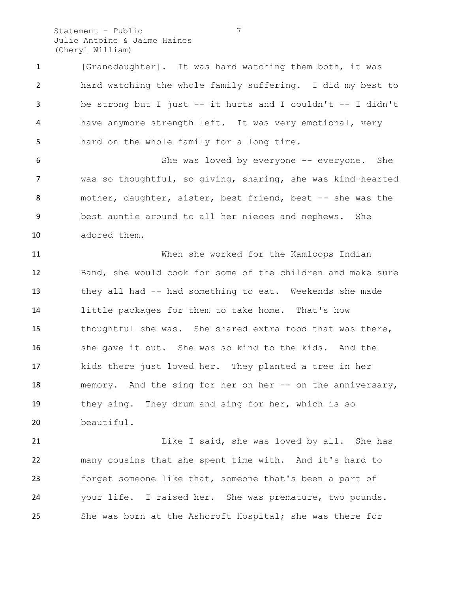Statement – Public 7 Julie Antoine & Jaime Haines (Cheryl William)

 [Granddaughter]. It was hard watching them both, it was hard watching the whole family suffering. I did my best to be strong but I just -- it hurts and I couldn't -- I didn't have anymore strength left. It was very emotional, very hard on the whole family for a long time.

 She was loved by everyone -- everyone. She was so thoughtful, so giving, sharing, she was kind-hearted mother, daughter, sister, best friend, best -- she was the best auntie around to all her nieces and nephews. She adored them.

 When she worked for the Kamloops Indian Band, she would cook for some of the children and make sure they all had -- had something to eat. Weekends she made little packages for them to take home. That's how thoughtful she was. She shared extra food that was there, she gave it out. She was so kind to the kids. And the kids there just loved her. They planted a tree in her 18 memory. And the sing for her on her -- on the anniversary, they sing. They drum and sing for her, which is so beautiful.

21 Like I said, she was loved by all. She has many cousins that she spent time with. And it's hard to forget someone like that, someone that's been a part of your life. I raised her. She was premature, two pounds. She was born at the Ashcroft Hospital; she was there for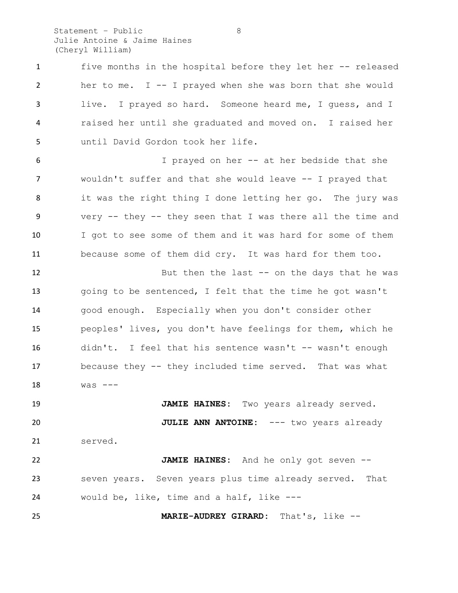Statement – Public 8 Julie Antoine & Jaime Haines (Cheryl William)

 five months in the hospital before they let her -- released her to me. I -- I prayed when she was born that she would live. I prayed so hard. Someone heard me, I guess, and I raised her until she graduated and moved on. I raised her until David Gordon took her life.

 I prayed on her -- at her bedside that she wouldn't suffer and that she would leave -- I prayed that it was the right thing I done letting her go. The jury was very -- they -- they seen that I was there all the time and I got to see some of them and it was hard for some of them because some of them did cry. It was hard for them too.

12 But then the last -- on the days that he was going to be sentenced, I felt that the time he got wasn't good enough. Especially when you don't consider other peoples' lives, you don't have feelings for them, which he 16 didn't. I feel that his sentence wasn't -- wasn't enough because they -- they included time served. That was what was  $---$ 

 **JAMIE HAINES:** Two years already served. **JULIE ANN ANTOINE:** --- two years already served.

 **JAMIE HAINES:** And he only got seven -- seven years. Seven years plus time already served. That would be, like, time and a half, like ---

**MARIE-AUDREY GIRARD:** That's, like --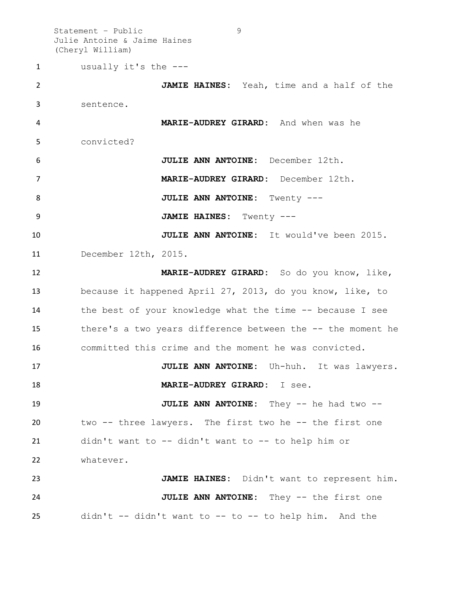Statement – Public 9 Julie Antoine & Jaime Haines (Cheryl William)

 usually it's the --- **JAMIE HAINES:** Yeah, time and a half of the sentence. **MARIE-AUDREY GIRARD:** And when was he convicted? **JULIE ANN ANTOINE:** December 12th. **MARIE-AUDREY GIRARD:** December 12th. **JULIE ANN ANTOINE:** Twenty --- **JAMIE HAINES:** Twenty --- **JULIE ANN ANTOINE:** It would've been 2015. December 12th, 2015. **MARIE-AUDREY GIRARD:** So do you know, like, because it happened April 27, 2013, do you know, like, to the best of your knowledge what the time -- because I see there's a two years difference between the -- the moment he committed this crime and the moment he was convicted. **JULIE ANN ANTOINE:** Uh-huh. It was lawyers. **MARIE-AUDREY GIRARD:** I see. **JULIE ANN ANTOINE:** They -- he had two -- two -- three lawyers. The first two he -- the first one didn't want to -- didn't want to -- to help him or whatever. **JAMIE HAINES:** Didn't want to represent him. **JULIE ANN ANTOINE:** They -- the first one didn't -- didn't want to -- to -- to help him. And the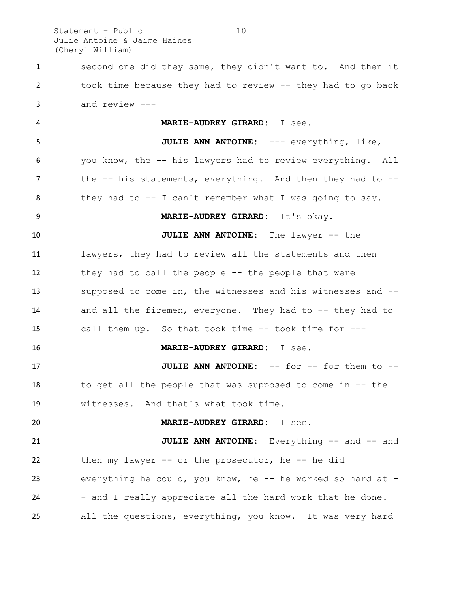Statement – Public 10 Julie Antoine & Jaime Haines (Cheryl William)

 second one did they same, they didn't want to. And then it took time because they had to review -- they had to go back and review ---

 **MARIE-AUDREY GIRARD:** I see. **JULIE ANN ANTOINE:** --- everything, like, you know, the -- his lawyers had to review everything. All 7 the -- his statements, everything. And then they had to -- they had to -- I can't remember what I was going to say. **MARIE-AUDREY GIRARD:** It's okay. **JULIE ANN ANTOINE:** The lawyer -- the lawyers, they had to review all the statements and then they had to call the people -- the people that were supposed to come in, the witnesses and his witnesses and -- and all the firemen, everyone. They had to -- they had to call them up. So that took time -- took time for --- **MARIE-AUDREY GIRARD:** I see. **JULIE ANN ANTOINE:** -- for -- for them to -- to get all the people that was supposed to come in -- the witnesses. And that's what took time. **MARIE-AUDREY GIRARD:** I see. **JULIE ANN ANTOINE:** Everything -- and -- and then my lawyer -- or the prosecutor, he -- he did everything he could, you know, he -- he worked so hard at - 24 - and I really appreciate all the hard work that he done. All the questions, everything, you know. It was very hard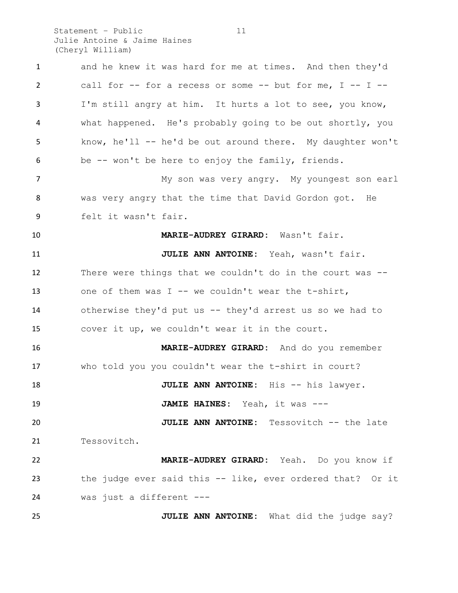Statement – Public 11 Julie Antoine & Jaime Haines (Cheryl William)

 and he knew it was hard for me at times. And then they'd call for -- for a recess or some -- but for me, I -- I -- I'm still angry at him. It hurts a lot to see, you know, what happened. He's probably going to be out shortly, you know, he'll -- he'd be out around there. My daughter won't be -- won't be here to enjoy the family, friends. 7 My son was very angry. My youngest son earl was very angry that the time that David Gordon got. He felt it wasn't fair. **MARIE-AUDREY GIRARD:** Wasn't fair. **JULIE ANN ANTOINE:** Yeah, wasn't fair. There were things that we couldn't do in the court was -- 13 one of them was I -- we couldn't wear the t-shirt, otherwise they'd put us -- they'd arrest us so we had to cover it up, we couldn't wear it in the court. **MARIE-AUDREY GIRARD:** And do you remember who told you you couldn't wear the t-shirt in court? **JULIE ANN ANTOINE:** His -- his lawyer. **JAMIE HAINES:** Yeah, it was --- **JULIE ANN ANTOINE:** Tessovitch -- the late Tessovitch. **MARIE-AUDREY GIRARD:** Yeah. Do you know if the judge ever said this -- like, ever ordered that? Or it was just a different --- **JULIE ANN ANTOINE:** What did the judge say?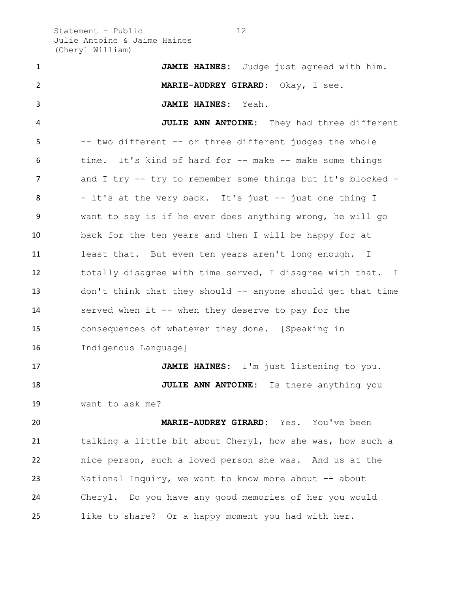Statement – Public 12 Julie Antoine & Jaime Haines (Cheryl William)

 **JAMIE HAINES:** Judge just agreed with him. **MARIE-AUDREY GIRARD:** Okay, I see. **JAMIE HAINES:** Yeah. **JULIE ANN ANTOINE:** They had three different -- two different -- or three different judges the whole 6 time. It's kind of hard for -- make -- make some things 7 and I try -- try to remember some things but it's blocked -8 - it's at the very back. It's just -- just one thing I want to say is if he ever does anything wrong, he will go back for the ten years and then I will be happy for at least that. But even ten years aren't long enough. I totally disagree with time served, I disagree with that. I don't think that they should -- anyone should get that time served when it -- when they deserve to pay for the consequences of whatever they done. [Speaking in Indigenous Language] **JAMIE HAINES:** I'm just listening to you. **JULIE ANN ANTOINE:** Is there anything you want to ask me? **MARIE-AUDREY GIRARD:** Yes. You've been talking a little bit about Cheryl, how she was, how such a nice person, such a loved person she was. And us at the National Inquiry, we want to know more about -- about Cheryl. Do you have any good memories of her you would like to share? Or a happy moment you had with her.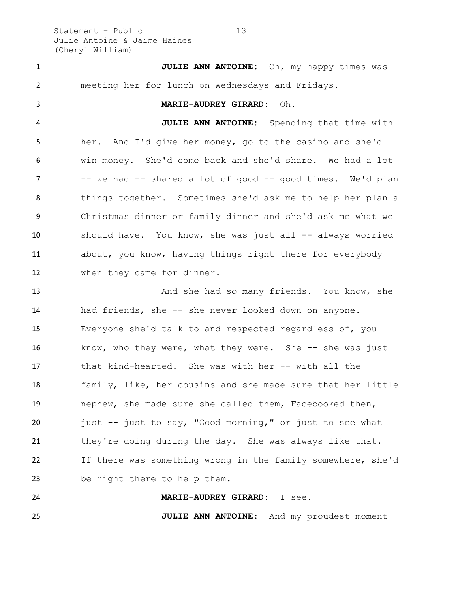Statement – Public 13 Julie Antoine & Jaime Haines (Cheryl William)

 **JULIE ANN ANTOINE:** Oh, my happy times was meeting her for lunch on Wednesdays and Fridays. **MARIE-AUDREY GIRARD:** Oh. **JULIE ANN ANTOINE:** Spending that time with her. And I'd give her money, go to the casino and she'd win money. She'd come back and she'd share. We had a lot 7 -- we had -- shared a lot of good -- good times. We'd plan things together. Sometimes she'd ask me to help her plan a Christmas dinner or family dinner and she'd ask me what we should have. You know, she was just all -- always worried about, you know, having things right there for everybody when they came for dinner. 13 And she had so many friends. You know, she had friends, she -- she never looked down on anyone. Everyone she'd talk to and respected regardless of, you 16 know, who they were, what they were. She -- she was just

 that kind-hearted. She was with her -- with all the family, like, her cousins and she made sure that her little nephew, she made sure she called them, Facebooked then, just -- just to say, "Good morning," or just to see what 21 they're doing during the day. She was always like that. If there was something wrong in the family somewhere, she'd be right there to help them.

 **MARIE-AUDREY GIRARD:** I see. **JULIE ANN ANTOINE:** And my proudest moment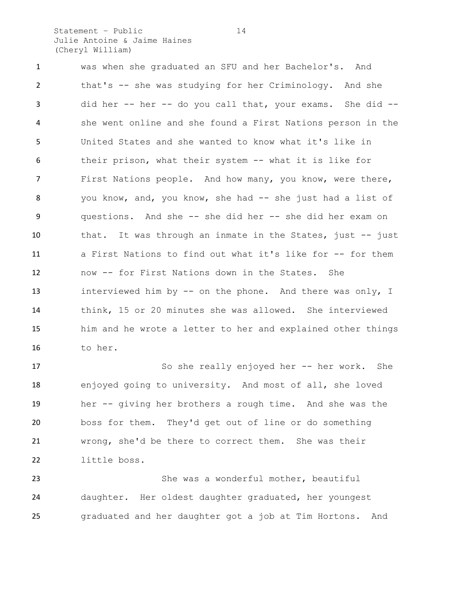Statement – Public 14 Julie Antoine & Jaime Haines (Cheryl William)

 was when she graduated an SFU and her Bachelor's. And that's -- she was studying for her Criminology. And she did her -- her -- do you call that, your exams. She did -- she went online and she found a First Nations person in the United States and she wanted to know what it's like in their prison, what their system -- what it is like for First Nations people. And how many, you know, were there, you know, and, you know, she had -- she just had a list of questions. And she -- she did her -- she did her exam on that. It was through an inmate in the States, just -- just a First Nations to find out what it's like for -- for them now -- for First Nations down in the States. She interviewed him by -- on the phone. And there was only, I think, 15 or 20 minutes she was allowed. She interviewed him and he wrote a letter to her and explained other things to her.

 So she really enjoyed her -- her work. She enjoyed going to university. And most of all, she loved her -- giving her brothers a rough time. And she was the boss for them. They'd get out of line or do something wrong, she'd be there to correct them. She was their little boss.

 She was a wonderful mother, beautiful daughter. Her oldest daughter graduated, her youngest graduated and her daughter got a job at Tim Hortons. And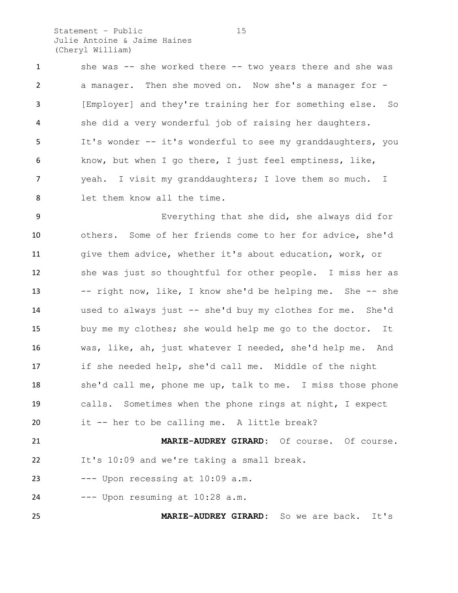Statement – Public 15 Julie Antoine & Jaime Haines (Cheryl William)

 she was -- she worked there -- two years there and she was a manager. Then she moved on. Now she's a manager for - [Employer] and they're training her for something else. So she did a very wonderful job of raising her daughters. It's wonder -- it's wonderful to see my granddaughters, you know, but when I go there, I just feel emptiness, like, yeah. I visit my granddaughters; I love them so much. I let them know all the time.

 Everything that she did, she always did for others. Some of her friends come to her for advice, she'd give them advice, whether it's about education, work, or she was just so thoughtful for other people. I miss her as -- right now, like, I know she'd be helping me. She -- she used to always just -- she'd buy my clothes for me. She'd buy me my clothes; she would help me go to the doctor. It was, like, ah, just whatever I needed, she'd help me. And if she needed help, she'd call me. Middle of the night she'd call me, phone me up, talk to me. I miss those phone calls. Sometimes when the phone rings at night, I expect it -- her to be calling me. A little break? **MARIE-AUDREY GIRARD:** Of course. Of course.

It's 10:09 and we're taking a small break.

--- Upon recessing at 10:09 a.m.

--- Upon resuming at  $10:28$  a.m.

**MARIE-AUDREY GIRARD:** So we are back. It's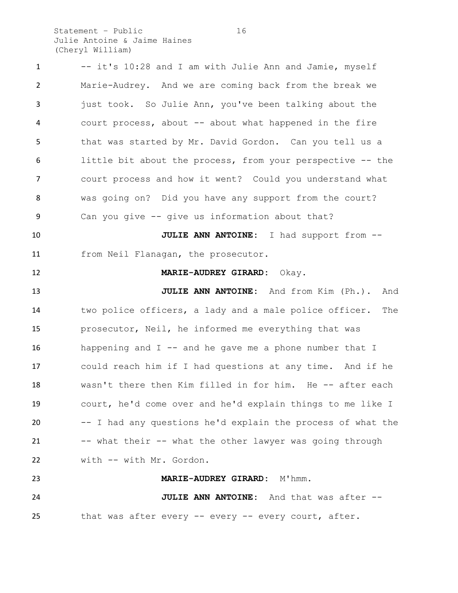Statement – Public 16 Julie Antoine & Jaime Haines (Cheryl William)

 -- it's 10:28 and I am with Julie Ann and Jamie, myself Marie-Audrey. And we are coming back from the break we 3 just took. So Julie Ann, you've been talking about the court process, about -- about what happened in the fire that was started by Mr. David Gordon. Can you tell us a little bit about the process, from your perspective -- the court process and how it went? Could you understand what was going on? Did you have any support from the court? Can you give -- give us information about that? **JULIE ANN ANTOINE:** I had support from -- from Neil Flanagan, the prosecutor. **MARIE-AUDREY GIRARD:** Okay. **JULIE ANN ANTOINE:** And from Kim (Ph.). And two police officers, a lady and a male police officer. The prosecutor, Neil, he informed me everything that was 16 happening and  $I$  -- and he gave me a phone number that  $I$  could reach him if I had questions at any time. And if he wasn't there then Kim filled in for him. He -- after each court, he'd come over and he'd explain things to me like I -- I had any questions he'd explain the process of what the -- what their -- what the other lawyer was going through with -- with Mr. Gordon. **MARIE-AUDREY GIRARD:** M'hmm. **JULIE ANN ANTOINE:** And that was after -- that was after every -- every -- every court, after.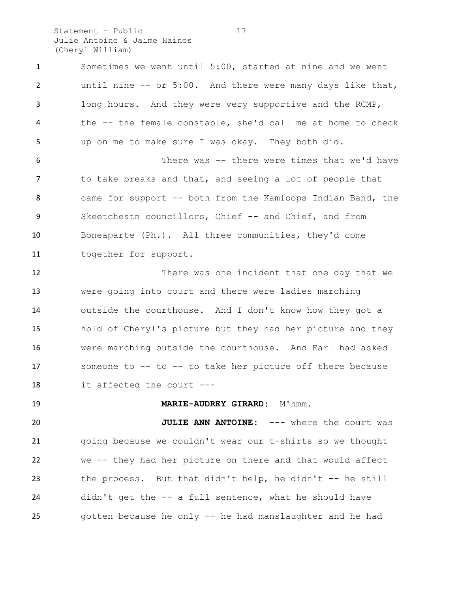Statement – Public 17 Julie Antoine & Jaime Haines (Cheryl William)

 Sometimes we went until 5:00, started at nine and we went until nine -- or 5:00. And there were many days like that, long hours. And they were very supportive and the RCMP, the -- the female constable, she'd call me at home to check up on me to make sure I was okay. They both did. There was -- there were times that we'd have to take breaks and that, and seeing a lot of people that came for support -- both from the Kamloops Indian Band, the 9 Skeetchestn councillors, Chief -- and Chief, and from Boneaparte (Ph.). All three communities, they'd come together for support. There was one incident that one day that we were going into court and there were ladies marching outside the courthouse. And I don't know how they got a hold of Cheryl's picture but they had her picture and they were marching outside the courthouse. And Earl had asked someone to -- to -- to take her picture off there because it affected the court --- **MARIE-AUDREY GIRARD:** M'hmm. **JULIE ANN ANTOINE:** --- where the court was going because we couldn't wear our t-shirts so we thought we -- they had her picture on there and that would affect the process. But that didn't help, he didn't -- he still didn't get the -- a full sentence, what he should have gotten because he only -- he had manslaughter and he had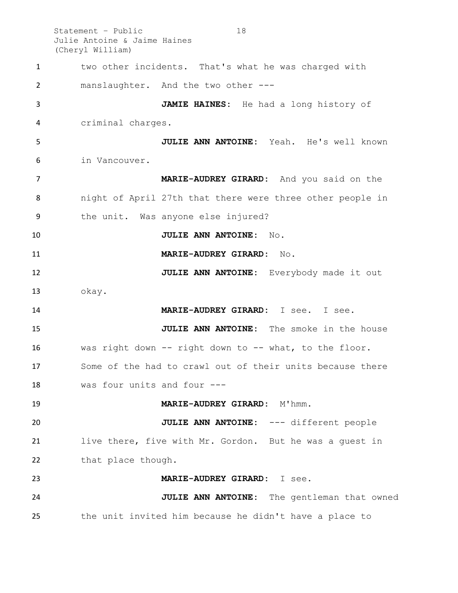Statement – Public 18 Julie Antoine & Jaime Haines (Cheryl William) two other incidents. That's what he was charged with manslaughter. And the two other --- **JAMIE HAINES:** He had a long history of criminal charges. **JULIE ANN ANTOINE:** Yeah. He's well known in Vancouver. **MARIE-AUDREY GIRARD:** And you said on the night of April 27th that there were three other people in the unit. Was anyone else injured? **JULIE ANN ANTOINE:** No. **MARIE-AUDREY GIRARD:** No. **JULIE ANN ANTOINE:** Everybody made it out okay. **MARIE-AUDREY GIRARD:** I see. I see. **JULIE ANN ANTOINE:** The smoke in the house was right down -- right down to -- what, to the floor. Some of the had to crawl out of their units because there was four units and four --- **MARIE-AUDREY GIRARD:** M'hmm. **JULIE ANN ANTOINE:** --- different people live there, five with Mr. Gordon. But he was a guest in 22 that place though. **MARIE-AUDREY GIRARD:** I see. **JULIE ANN ANTOINE:** The gentleman that owned

the unit invited him because he didn't have a place to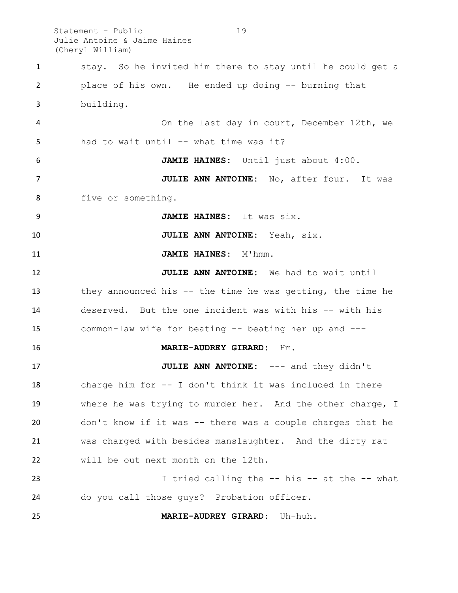Statement – Public 19 Julie Antoine & Jaime Haines (Cheryl William)

 stay. So he invited him there to stay until he could get a place of his own. He ended up doing -- burning that building. On the last day in court, December 12th, we 5 had to wait until -- what time was it? **JAMIE HAINES:** Until just about 4:00. **JULIE ANN ANTOINE:** No, after four. It was five or something. **JAMIE HAINES:** It was six. **JULIE ANN ANTOINE:** Yeah, six. **JAMIE HAINES:** M'hmm. **JULIE ANN ANTOINE:** We had to wait until they announced his -- the time he was getting, the time he deserved. But the one incident was with his -- with his common-law wife for beating -- beating her up and --- **MARIE-AUDREY GIRARD:** Hm. **JULIE ANN ANTOINE:** --- and they didn't charge him for -- I don't think it was included in there where he was trying to murder her. And the other charge, I don't know if it was -- there was a couple charges that he was charged with besides manslaughter. And the dirty rat will be out next month on the 12th. I tried calling the -- his -- at the -- what do you call those guys? Probation officer. **MARIE-AUDREY GIRARD:** Uh-huh.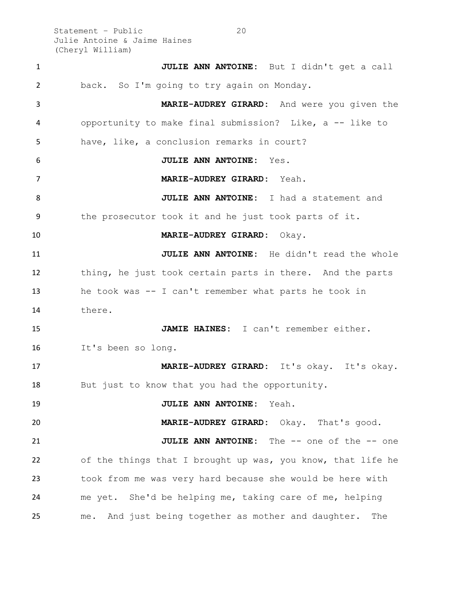Statement – Public 20 Julie Antoine & Jaime Haines (Cheryl William)

 **JULIE ANN ANTOINE:** But I didn't get a call back. So I'm going to try again on Monday. **MARIE-AUDREY GIRARD:** And were you given the opportunity to make final submission? Like, a -- like to have, like, a conclusion remarks in court? **JULIE ANN ANTOINE:** Yes. **MARIE-AUDREY GIRARD:** Yeah. **JULIE ANN ANTOINE:** I had a statement and the prosecutor took it and he just took parts of it. **MARIE-AUDREY GIRARD:** Okay. **JULIE ANN ANTOINE:** He didn't read the whole thing, he just took certain parts in there. And the parts he took was -- I can't remember what parts he took in there. **JAMIE HAINES:** I can't remember either. It's been so long. **MARIE-AUDREY GIRARD:** It's okay. It's okay. But just to know that you had the opportunity. **JULIE ANN ANTOINE:** Yeah. **MARIE-AUDREY GIRARD:** Okay. That's good. **JULIE ANN ANTOINE:** The -- one of the -- one of the things that I brought up was, you know, that life he took from me was very hard because she would be here with me yet. She'd be helping me, taking care of me, helping me. And just being together as mother and daughter. The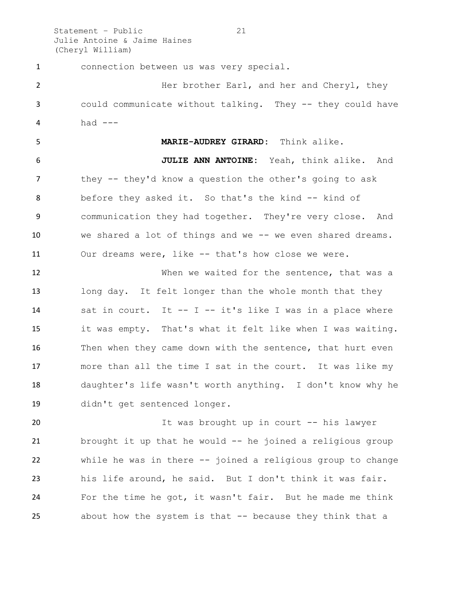Statement – Public 21 Julie Antoine & Jaime Haines (Cheryl William)

 connection between us was very special. **Her brother Earl, and her and Cheryl, they**  could communicate without talking. They -- they could have had  $---$  **MARIE-AUDREY GIRARD:** Think alike. **JULIE ANN ANTOINE:** Yeah, think alike. And they -- they'd know a question the other's going to ask 8 before they asked it. So that's the kind -- kind of communication they had together. They're very close. And we shared a lot of things and we -- we even shared dreams. Our dreams were, like -- that's how close we were. When we waited for the sentence, that was a long day. It felt longer than the whole month that they sat in court. It -- I -- it's like I was in a place where it was empty. That's what it felt like when I was waiting. Then when they came down with the sentence, that hurt even more than all the time I sat in the court. It was like my daughter's life wasn't worth anything. I don't know why he didn't get sentenced longer. 20 1t was brought up in court -- his lawyer brought it up that he would -- he joined a religious group

 while he was in there -- joined a religious group to change his life around, he said. But I don't think it was fair. For the time he got, it wasn't fair. But he made me think about how the system is that -- because they think that a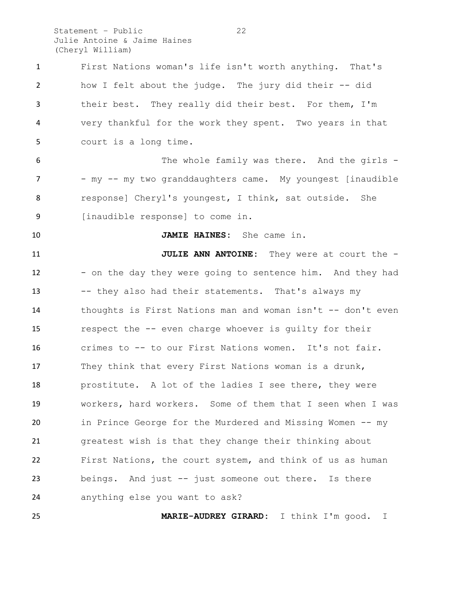Statement – Public 22 Julie Antoine & Jaime Haines (Cheryl William)

| $\mathbf{1}$ | First Nations woman's life isn't worth anything. That's     |
|--------------|-------------------------------------------------------------|
| 2            | how I felt about the judge. The jury did their -- did       |
| 3            | their best. They really did their best. For them, I'm       |
| 4            | very thankful for the work they spent. Two years in that    |
| 5            | court is a long time.                                       |
| 6            | The whole family was there. And the girls -                 |
| 7            | - my -- my two granddaughters came. My youngest [inaudible  |
| 8            | response] Cheryl's youngest, I think, sat outside. She      |
| 9            | [inaudible response] to come in.                            |
| 10           | JAMIE HAINES: She came in.                                  |
| 11           | <b>JULIE ANN ANTOINE:</b> They were at court the -          |
| 12           | - on the day they were going to sentence him. And they had  |
| 13           | -- they also had their statements. That's always my         |
| 14           | thoughts is First Nations man and woman isn't -- don't even |
| 15           | respect the -- even charge whoever is guilty for their      |
| 16           | crimes to -- to our First Nations women. It's not fair.     |
| 17           | They think that every First Nations woman is a drunk,       |
| 18           | prostitute. A lot of the ladies I see there, they were      |
| 19           | workers, hard workers. Some of them that I seen when I was  |
| 20           | in Prince George for the Murdered and Missing Women -- my   |
| 21           | greatest wish is that they change their thinking about      |
| 22           | First Nations, the court system, and think of us as human   |
| 23           | beings. And just -- just someone out there. Is there        |
| 24           | anything else you want to ask?                              |
|              |                                                             |

**MARIE-AUDREY GIRARD:** I think I'm good. I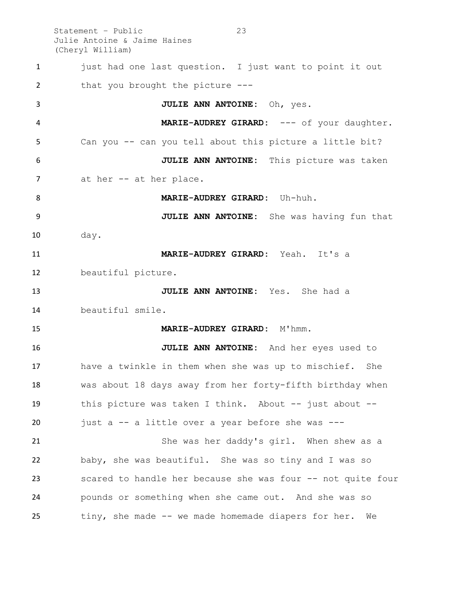Statement – Public 23 Julie Antoine & Jaime Haines (Cheryl William)

1 just had one last question. I just want to point it out 2 that you brought the picture --- **JULIE ANN ANTOINE:** Oh, yes. 4 MARIE-AUDREY GIRARD: --- of your daughter. Can you -- can you tell about this picture a little bit? **JULIE ANN ANTOINE:** This picture was taken 7 at her -- at her place. **MARIE-AUDREY GIRARD:** Uh-huh. **JULIE ANN ANTOINE:** She was having fun that day. **MARIE-AUDREY GIRARD:** Yeah. It's a beautiful picture. **JULIE ANN ANTOINE:** Yes. She had a beautiful smile. **MARIE-AUDREY GIRARD:** M'hmm. **JULIE ANN ANTOINE:** And her eyes used to have a twinkle in them when she was up to mischief. She was about 18 days away from her forty-fifth birthday when this picture was taken I think. About -- just about -- just a -- a little over a year before she was --- She was her daddy's girl. When shew as a baby, she was beautiful. She was so tiny and I was so scared to handle her because she was four -- not quite four pounds or something when she came out. And she was so tiny, she made -- we made homemade diapers for her. We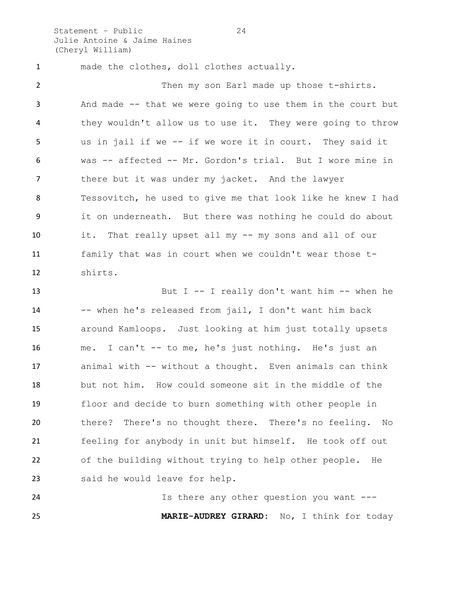Statement – Public 24 Julie Antoine & Jaime Haines (Cheryl William)

 made the clothes, doll clothes actually. Then my son Earl made up those t-shirts. And made -- that we were going to use them in the court but they wouldn't allow us to use it. They were going to throw us in jail if we -- if we wore it in court. They said it was -- affected -- Mr. Gordon's trial. But I wore mine in there but it was under my jacket. And the lawyer Tessovitch, he used to give me that look like he knew I had it on underneath. But there was nothing he could do about it. That really upset all my -- my sons and all of our family that was in court when we couldn't wear those t-shirts.

 But I -- I really don't want him -- when he -- when he's released from jail, I don't want him back around Kamloops. Just looking at him just totally upsets me. I can't -- to me, he's just nothing. He's just an animal with -- without a thought. Even animals can think but not him. How could someone sit in the middle of the floor and decide to burn something with other people in there? There's no thought there. There's no feeling. No feeling for anybody in unit but himself. He took off out of the building without trying to help other people. He said he would leave for help.

 Is there any other question you want --- **MARIE-AUDREY GIRARD:** No, I think for today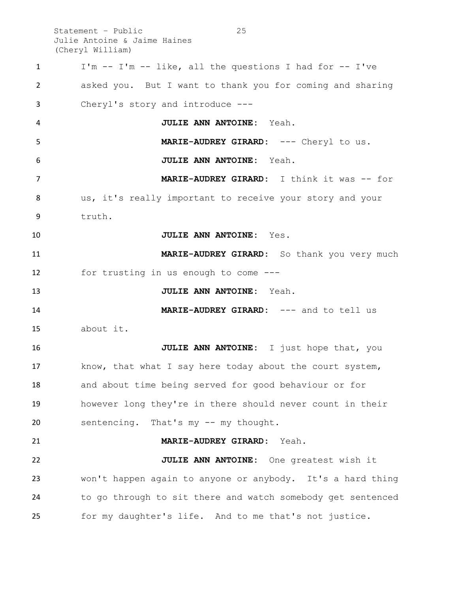Statement – Public 25 Julie Antoine & Jaime Haines (Cheryl William)

| $\mathbf{1}$ | I'm -- I'm -- like, all the questions I had for -- I've     |
|--------------|-------------------------------------------------------------|
| 2            | asked you. But I want to thank you for coming and sharing   |
| 3            | Cheryl's story and introduce $---$                          |
| 4            | JULIE ANN ANTOINE: Yeah.                                    |
| 5            | MARIE-AUDREY GIRARD: --- Cheryl to us.                      |
| 6            | JULIE ANN ANTOINE: Yeah.                                    |
| 7            | <b>MARIE-AUDREY GIRARD:</b> I think it was -- for           |
| 8            | us, it's really important to receive your story and your    |
| 9            | truth.                                                      |
| 10           | JULIE ANN ANTOINE: Yes.                                     |
| 11           | MARIE-AUDREY GIRARD: So thank you very much                 |
| 12           | for trusting in us enough to come $---$                     |
| 13           | JULIE ANN ANTOINE: Yeah.                                    |
| 14           | MARIE-AUDREY GIRARD: --- and to tell us                     |
| 15           | about it.                                                   |
| 16           | JULIE ANN ANTOINE: I just hope that, you                    |
| 17           | know, that what I say here today about the court system,    |
| 18           | and about time being served for good behaviour or for       |
| 19           | however long they're in there should never count in their   |
| 20           | sentencing. That's my -- my thought.                        |
| 21           | MARIE-AUDREY GIRARD: Yeah.                                  |
| 22           | JULIE ANN ANTOINE: One greatest wish it                     |
| 23           | won't happen again to anyone or anybody. It's a hard thing  |
| 24           | to go through to sit there and watch somebody get sentenced |
| 25           | for my daughter's life. And to me that's not justice.       |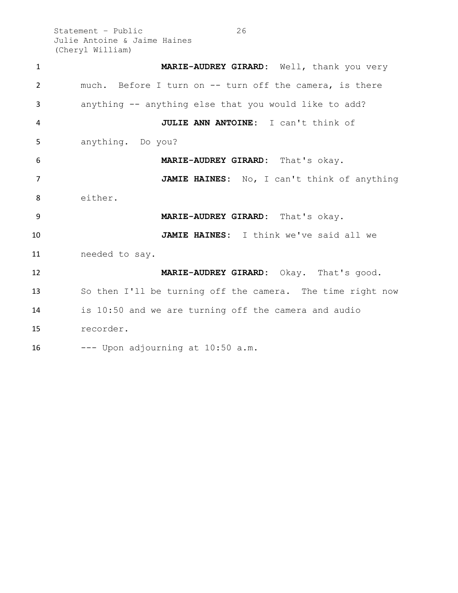Statement – Public 26 Julie Antoine & Jaime Haines (Cheryl William)

| $\mathbf{1}$   | MARIE-AUDREY GIRARD: Well, thank you very                  |
|----------------|------------------------------------------------------------|
| $\overline{2}$ | much. Before I turn on -- turn off the camera, is there    |
| 3              | anything -- anything else that you would like to add?      |
| 4              | JULIE ANN ANTOINE: I can't think of                        |
| 5              | anything. Do you?                                          |
| 6              | MARIE-AUDREY GIRARD: That's okay.                          |
| $\overline{7}$ | JAMIE HAINES: No, I can't think of anything                |
| 8              | either.                                                    |
| 9              | MARIE-AUDREY GIRARD: That's okay.                          |
| 10             | JAMIE HAINES: I think we've said all we                    |
| 11             | needed to say.                                             |
| 12             | MARIE-AUDREY GIRARD: Okay. That's good.                    |
| 13             | So then I'll be turning off the camera. The time right now |
| 14             | is 10:50 and we are turning off the camera and audio       |
| 15             | recorder.                                                  |
| 16             | --- Upon adjourning at 10:50 a.m.                          |